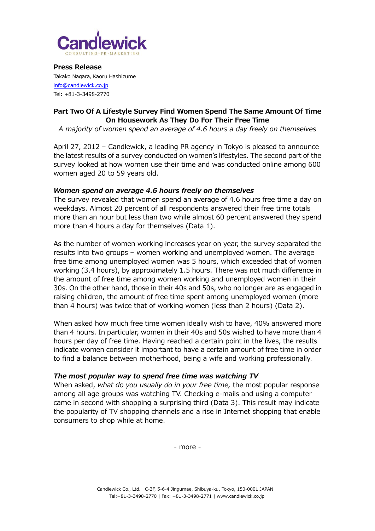

**Press Release** Takako Nagara, Kaoru Hashizume [info@candlewick.co.jp](mailto:info@candlewick.co.jp) Tel: +81-3-3498-2770

## **Part Two Of A Lifestyle Survey Find Women Spend The Same Amount Of Time On Housework As They Do For Their Free Time**

*A majority of women spend an average of 4.6 hours a day freely on themselves*

April 27, 2012 – Candlewick, a leading PR agency in Tokyo is pleased to announce the latest results of a survey conducted on women's lifestyles. The second part of the survey looked at how women use their time and was conducted online among 600 women aged 20 to 59 years old.

#### *Women spend on average 4.6 hours freely on themselves*

The survey revealed that women spend an average of 4.6 hours free time a day on weekdays. Almost 20 percent of all respondents answered their free time totals more than an hour but less than two while almost 60 percent answered they spend more than 4 hours a day for themselves (Data 1).

As the number of women working increases year on year, the survey separated the results into two groups – women working and unemployed women. The average free time among unemployed women was 5 hours, which exceeded that of women working (3.4 hours), by approximately 1.5 hours. There was not much difference in the amount of free time among women working and unemployed women in their 30s. On the other hand, those in their 40s and 50s, who no longer are as engaged in raising children, the amount of free time spent among unemployed women (more than 4 hours) was twice that of working women (less than 2 hours) (Data 2).

When asked how much free time women ideally wish to have, 40% answered more than 4 hours. In particular, women in their 40s and 50s wished to have more than 4 hours per day of free time. Having reached a certain point in the lives, the results indicate women consider it important to have a certain amount of free time in order to find a balance between motherhood, being a wife and working professionally.

#### *The most popular way to spend free time was watching TV*

When asked, *what do you usually do in your free time,* the most popular response among all age groups was watching TV. Checking e-mails and using a computer came in second with shopping a surprising third (Data 3). This result may indicate the popularity of TV shopping channels and a rise in Internet shopping that enable consumers to shop while at home.

- more -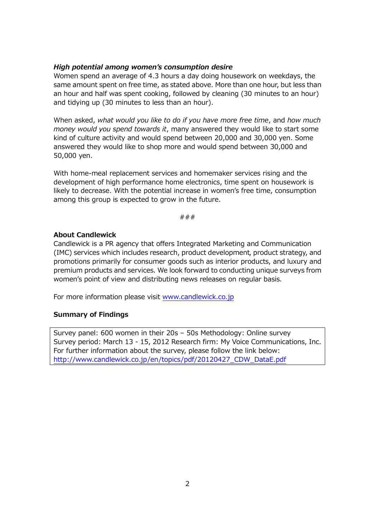#### *High potential among women's consumption desire*

Women spend an average of 4.3 hours a day doing housework on weekdays, the same amount spent on free time, as stated above. More than one hour, but less than an hour and half was spent cooking, followed by cleaning (30 minutes to an hour) and tidying up (30 minutes to less than an hour).

When asked, *what would you like to do if you have more free time*, and *how much money would you spend towards it*, many answered they would like to start some kind of culture activity and would spend between 20,000 and 30,000 yen. Some answered they would like to shop more and would spend between 30,000 and 50,000 yen.

With home-meal replacement services and homemaker services rising and the development of high performance home electronics, time spent on housework is likely to decrease. With the potential increase in women's free time, consumption among this group is expected to grow in the future.

###

#### **About Candlewick**

Candlewick is a PR agency that offers Integrated Marketing and Communication (IMC) services which includes research, product development, product strategy, and promotions primarily for consumer goods such as interior products, and luxury and premium products and services. We look forward to conducting unique surveys from women's point of view and distributing news releases on regular basis.

For more information please visit [www.candlewick.co.jp](http://www.candlewick.co.jp/)

## **Summary of Findings**

Survey panel: 600 women in their 20s – 50s Methodology: Online survey Survey period: March 13 - 15, 2012 Research firm: My Voice Communications, Inc. For further information about the survey, please follow the link below: [http://www.candlewick.co.jp/en/topics/pdf/20120427\\_CDW\\_DataE.pdf](http://www.candlewick.co.jp/en/topics/pdf/20120427_CDW_DataE.pdf)